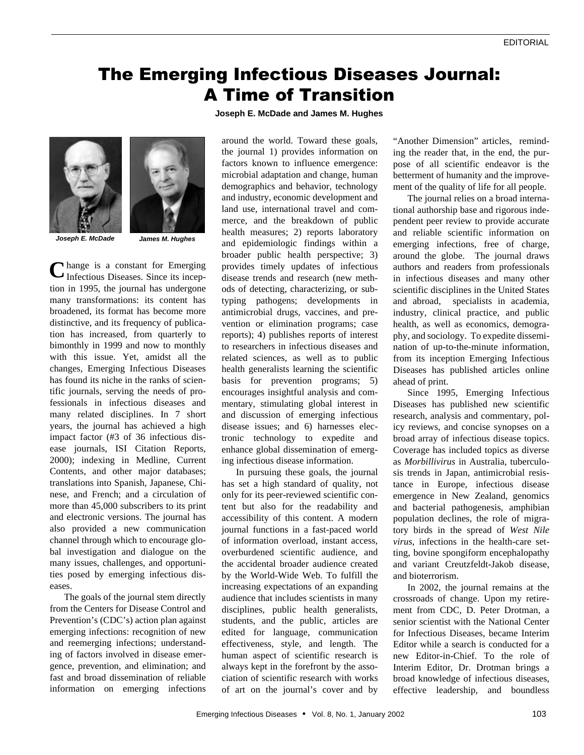## The Emerging Infectious Diseases Journal: A Time of Transition

**Joseph E. McDade and James M. Hughes**



*Joseph E. McDade James M. Hughes*



hange is a constant for Emerging Change is a constant for Emerging<br>Infectious Diseases. Since its inception in 1995, the journal has undergone many transformations: its content has broadened, its format has become more distinctive, and its frequency of publication has increased, from quarterly to bimonthly in 1999 and now to monthly with this issue. Yet, amidst all the changes, Emerging Infectious Diseases has found its niche in the ranks of scientific journals, serving the needs of professionals in infectious diseases and many related disciplines. In 7 short years, the journal has achieved a high impact factor (#3 of 36 infectious disease journals, ISI Citation Reports, 2000); indexing in Medline, Current Contents, and other major databases; translations into Spanish, Japanese, Chinese, and French; and a circulation of more than 45,000 subscribers to its print and electronic versions. The journal has also provided a new communication channel through which to encourage global investigation and dialogue on the many issues, challenges, and opportunities posed by emerging infectious diseases.

The goals of the journal stem directly from the Centers for Disease Control and Prevention's (CDC's) action plan against emerging infections: recognition of new and reemerging infections; understanding of factors involved in disease emergence, prevention, and elimination; and fast and broad dissemination of reliable information on emerging infections around the world. Toward these goals, the journal 1) provides information on factors known to influence emergence: microbial adaptation and change, human demographics and behavior, technology and industry, economic development and land use, international travel and commerce, and the breakdown of public health measures; 2) reports laboratory and epidemiologic findings within a broader public health perspective; 3) provides timely updates of infectious disease trends and research (new methods of detecting, characterizing, or subtyping pathogens; developments in antimicrobial drugs, vaccines, and prevention or elimination programs; case reports); 4) publishes reports of interest to researchers in infectious diseases and related sciences, as well as to public health generalists learning the scientific basis for prevention programs; 5) encourages insightful analysis and commentary, stimulating global interest in and discussion of emerging infectious disease issues; and 6) harnesses electronic technology to expedite and enhance global dissemination of emerging infectious disease information.

In pursuing these goals, the journal has set a high standard of quality, not only for its peer-reviewed scientific content but also for the readability and accessibility of this content. A modern journal functions in a fast-paced world of information overload, instant access, overburdened scientific audience, and the accidental broader audience created by the World-Wide Web. To fulfill the increasing expectations of an expanding audience that includes scientists in many disciplines, public health generalists, students, and the public, articles are edited for language, communication effectiveness, style, and length. The human aspect of scientific research is always kept in the forefront by the association of scientific research with works of art on the journal's cover and by

"Another Dimension" articles, reminding the reader that, in the end, the purpose of all scientific endeavor is the betterment of humanity and the improvement of the quality of life for all people.

The journal relies on a broad international authorship base and rigorous independent peer review to provide accurate and reliable scientific information on emerging infections, free of charge, around the globe. The journal draws authors and readers from professionals in infectious diseases and many other scientific disciplines in the United States and abroad, specialists in academia, industry, clinical practice, and public health, as well as economics, demography, and sociology. To expedite dissemination of up-to-the-minute information, from its inception Emerging Infectious Diseases has published articles online ahead of print.

Since 1995, Emerging Infectious Diseases has published new scientific research, analysis and commentary, policy reviews, and concise synopses on a broad array of infectious disease topics. Coverage has included topics as diverse as *Morbillivirus* in Australia, tuberculosis trends in Japan, antimicrobial resistance in Europe, infectious disease emergence in New Zealand, genomics and bacterial pathogenesis, amphibian population declines, the role of migratory birds in the spread of *West Nile virus*, infections in the health-care setting, bovine spongiform encephalopathy and variant Creutzfeldt-Jakob disease, and bioterrorism.

In 2002, the journal remains at the crossroads of change. Upon my retirement from CDC, D. Peter Drotman, a senior scientist with the National Center for Infectious Diseases, became Interim Editor while a search is conducted for a new Editor-in-Chief. To the role of Interim Editor, Dr. Drotman brings a broad knowledge of infectious diseases, effective leadership, and boundless